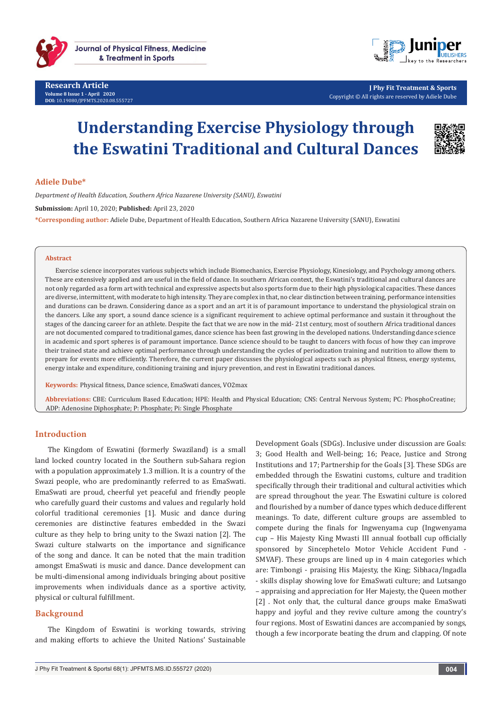



**J Phy Fit Treatment & Sports** Copyright © All rights are reserved by Adiele Dube

# **Understanding Exercise Physiology through the Eswatini Traditional and Cultural Dances**



## **Adiele Dube\***

*Department of Health Education, Southern Africa Nazarene University (SANU), Eswatini* 

**Submission:** April 10, 2020; **Published:** April 23, 2020

**\*Corresponding author:** Adiele Dube, Department of Health Education, Southern Africa Nazarene University (SANU), Eswatini

#### **Abstract**

Exercise science incorporates various subjects which include Biomechanics, Exercise Physiology, Kinesiology, and Psychology among others. These are extensively applied and are useful in the field of dance. In southern African context, the Eswatini's traditional and cultural dances are not only regarded as a form art with technical and expressive aspects but also sports form due to their high physiological capacities. These dances are diverse, intermittent, with moderate to high intensity. They are complex in that, no clear distinction between training, performance intensities and durations can be drawn. Considering dance as a sport and an art it is of paramount importance to understand the physiological strain on the dancers. Like any sport, a sound dance science is a significant requirement to achieve optimal performance and sustain it throughout the stages of the dancing career for an athlete. Despite the fact that we are now in the mid- 21st century, most of southern Africa traditional dances are not documented compared to traditional games, dance science has been fast growing in the developed nations. Understanding dance science in academic and sport spheres is of paramount importance. Dance science should to be taught to dancers with focus of how they can improve their trained state and achieve optimal performance through understanding the cycles of periodization training and nutrition to allow them to prepare for events more efficiently. Therefore, the current paper discusses the physiological aspects such as physical fitness, energy systems, energy intake and expenditure, conditioning training and injury prevention, and rest in Eswatini traditional dances.

**Keywords:** Physical fitness, Dance science, EmaSwati dances, VO2max

**Abbreviations:** CBE: Curriculum Based Education; HPE: Health and Physical Education; CNS: Central Nervous System; PC: PhosphoCreatine; ADP: Adenosine Diphosphate; P: Phosphate; Pi: Single Phosphate

## **Introduction**

The Kingdom of Eswatini (formerly Swaziland) is a small land locked country located in the Southern sub-Sahara region with a population approximately 1.3 million. It is a country of the Swazi people, who are predominantly referred to as EmaSwati. EmaSwati are proud, cheerful yet peaceful and friendly people who carefully guard their customs and values and regularly hold colorful traditional ceremonies [1]. Music and dance during ceremonies are distinctive features embedded in the Swazi culture as they help to bring unity to the Swazi nation [2]. The Swazi culture stalwarts on the importance and significance of the song and dance. It can be noted that the main tradition amongst EmaSwati is music and dance. Dance development can be multi-dimensional among individuals bringing about positive improvements when individuals dance as a sportive activity, physical or cultural fulfillment.

## **Background**

The Kingdom of Eswatini is working towards, striving and making efforts to achieve the United Nations' Sustainable

Development Goals (SDGs). Inclusive under discussion are Goals: 3; Good Health and Well-being; 16; Peace, Justice and Strong Institutions and 17; Partnership for the Goals [3]. These SDGs are embedded through the Eswatini customs, culture and tradition specifically through their traditional and cultural activities which are spread throughout the year. The Eswatini culture is colored and flourished by a number of dance types which deduce different meanings. To date, different culture groups are assembled to compete during the finals for Ingwenyama cup (Ingwenyama cup – His Majesty King Mwasti III annual football cup officially sponsored by Sincephetelo Motor Vehicle Accident Fund - SMVAF). These groups are lined up in 4 main categories which are: Timbongi - praising His Majesty, the King; Sibhaca/Ingadla - skills display showing love for EmaSwati culture; and Lutsango – appraising and appreciation for Her Majesty, the Queen mother [2] . Not only that, the cultural dance groups make EmaSwati happy and joyful and they revive culture among the country's four regions. Most of Eswatini dances are accompanied by songs, though a few incorporate beating the drum and clapping. Of note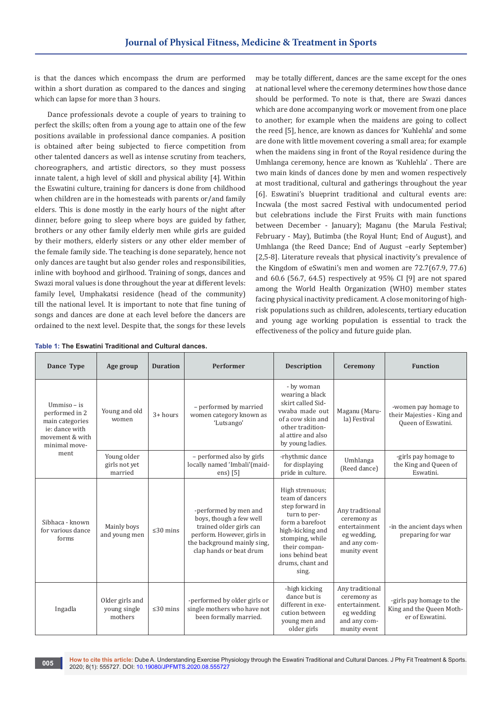is that the dances which encompass the drum are performed within a short duration as compared to the dances and singing which can lapse for more than 3 hours.

Dance professionals devote a couple of years to training to perfect the skills; often from a young age to attain one of the few positions available in professional dance companies. A position is obtained after being subjected to fierce competition from other talented dancers as well as intense scrutiny from teachers, choreographers, and artistic directors, so they must possess innate talent, a high level of skill and physical ability [4]. Within the Eswatini culture, training for dancers is done from childhood when children are in the homesteads with parents or/and family elders. This is done mostly in the early hours of the night after dinner, before going to sleep where boys are guided by father, brothers or any other family elderly men while girls are guided by their mothers, elderly sisters or any other elder member of the female family side. The teaching is done separately, hence not only dances are taught but also gender roles and responsibilities, inline with boyhood and girlhood. Training of songs, dances and Swazi moral values is done throughout the year at different levels: family level, Umphakatsi residence (head of the community) till the national level. It is important to note that fine tuning of songs and dances are done at each level before the dancers are ordained to the next level. Despite that, the songs for these levels

may be totally different, dances are the same except for the ones at national level where the ceremony determines how those dance should be performed. To note is that, there are Swazi dances which are done accompanying work or movement from one place to another; for example when the maidens are going to collect the reed [5], hence, are known as dances for 'Kuhlehla' and some are done with little movement covering a small area; for example when the maidens sing in front of the Royal residence during the Umhlanga ceremony, hence are known as 'Kuhlehla' . There are two main kinds of dances done by men and women respectively at most traditional, cultural and gatherings throughout the year [6]. Eswatini's blueprint traditional and cultural events are: Incwala (the most sacred Festival with undocumented period but celebrations include the First Fruits with main functions between December - January); Maganu (the Marula Festival; February - May), Butimba (the Royal Hunt; End of August), and Umhlanga (the Reed Dance; End of August –early September) [2,5-8]. Literature reveals that physical inactivity's prevalence of the Kingdom of eSwatini's men and women are 72.7(67.9, 77.6) and 60.6 (56.7, 64.5) respectively at 95% CI [9] are not spared among the World Health Organization (WHO) member states facing physical inactivity predicament. A close monitoring of highrisk populations such as children, adolescents, tertiary education and young age working population is essential to track the effectiveness of the policy and future guide plan.

| Dance Type                                                                                                | Age group                                  | <b>Duration</b> | <b>Performer</b>                                                                                                                                                    | <b>Description</b>                                                                                                                                                                                | Ceremony                                                                                       | <b>Function</b>                                                          |
|-----------------------------------------------------------------------------------------------------------|--------------------------------------------|-----------------|---------------------------------------------------------------------------------------------------------------------------------------------------------------------|---------------------------------------------------------------------------------------------------------------------------------------------------------------------------------------------------|------------------------------------------------------------------------------------------------|--------------------------------------------------------------------------|
| $U$ mmiso – is<br>performed in 2<br>main categories<br>ie: dance with<br>movement & with<br>minimal move- | Young and old<br>women                     | $3+ hours$      | - performed by married<br>women category known as<br>'Lutsango'                                                                                                     | - by woman<br>wearing a black<br>skirt called Sid-<br>vwaba made out<br>of a cow skin and<br>other tradition-<br>al attire and also<br>by young ladies.                                           | Maganu (Maru-<br>la) Festival                                                                  | -women pay homage to<br>their Majesties - King and<br>Queen of Eswatini. |
| ment                                                                                                      | Young older<br>girls not yet<br>married    |                 | - performed also by girls<br>locally named 'Imbali'(maid-<br>ens) [5]                                                                                               | -rhythmic dance<br>for displaying<br>pride in culture.                                                                                                                                            | Umhlanga<br>(Reed dance)                                                                       | -girls pay homage to<br>the King and Queen of<br>Eswatini.               |
| Sibhaca - known<br>for various dance<br>forms                                                             | Mainly boys<br>and young men               | $\leq 30$ mins  | -performed by men and<br>boys, though a few well<br>trained older girls can<br>perform. However, girls in<br>the background mainly sing,<br>clap hands or beat drum | High strenuous;<br>team of dancers<br>step forward in<br>turn to per-<br>form a barefoot<br>high-kicking and<br>stomping, while<br>their compan-<br>ions behind beat<br>drums, chant and<br>sing. | Any traditional<br>ceremony as<br>entertainment<br>eg wedding,<br>and any com-<br>munity event | -in the ancient days when<br>preparing for war                           |
| Ingadla                                                                                                   | Older girls and<br>young single<br>mothers | $\leq$ 30 mins  | -performed by older girls or<br>single mothers who have not<br>been formally married.                                                                               | -high kicking<br>dance but is<br>different in exe-<br>cution between<br>young men and<br>older girls                                                                                              | Any traditional<br>ceremony as<br>entertainment.<br>eg wedding<br>and any com-<br>munity event | -girls pay homage to the<br>King and the Queen Moth-<br>er of Eswatini.  |

**Table 1: The Eswatini Traditional and Cultural dances.**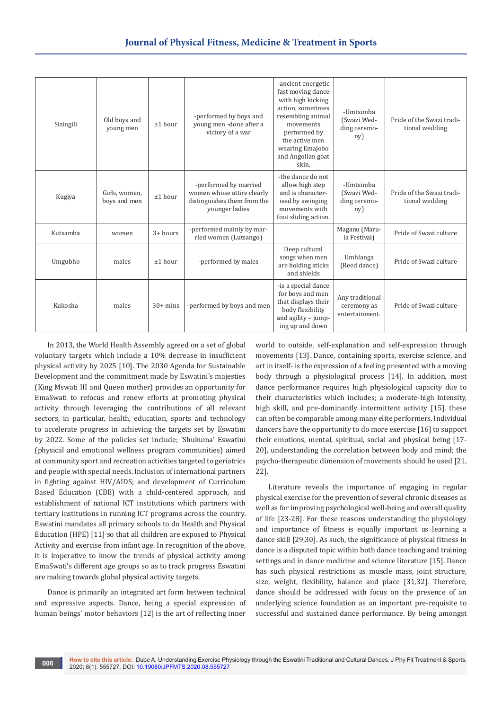| Sizingili | Old boys and<br>young men     | ±1 hour    | -performed by boys and<br>young men -done after a<br>victory of a war                                | -ancient energetic<br>fast moving dance<br>with high kicking<br>action, sometimes<br>resembling animal<br>movements<br>performed by<br>the active men<br>wearing Emajobo<br>and Angolian goat<br>skin. | -Umtsimba<br>(Swazi Wed-<br>ding ceremo-<br>ny)  | Pride of the Swazi tradi-<br>tional wedding |
|-----------|-------------------------------|------------|------------------------------------------------------------------------------------------------------|--------------------------------------------------------------------------------------------------------------------------------------------------------------------------------------------------------|--------------------------------------------------|---------------------------------------------|
| Kugiya    | Girls, women,<br>boys and men | ±1 hour    | -performed by married<br>women whose attire clearly<br>distinguishes them from the<br>younger ladies | -the dance do not<br>allow high step<br>and is character-<br>ised by swinging<br>movements with<br>foot sliding action.                                                                                | -Umtsimba<br>(Swazi Wed-<br>ding ceremo-<br>ny)  | Pride of the Swazi tradi-<br>tional wedding |
| Kutsamba  | women                         | $3+ hours$ | -performed mainly by mar-<br>ried women (Lutsango)                                                   |                                                                                                                                                                                                        | Maganu (Maru-<br>la Festival)                    | Pride of Swazi culture                      |
| Umgubho   | males                         | ±1 hour    | -performed by males                                                                                  | Deep cultural<br>songs when men<br>are holding sticks<br>and shields                                                                                                                                   | Umhlanga<br>(Reed dance)                         | Pride of Swazi culture                      |
| Kukosha   | males                         | $30+$ mins | -performed by boys and men                                                                           | -is a special dance<br>for boys and men<br>that displays their<br>body flexibility<br>and agility $-$ jump-<br>ing up and down                                                                         | Any traditional<br>ceremony as<br>entertainment. | Pride of Swazi culture                      |

In 2013, the World Health Assembly agreed on a set of global voluntary targets which include a 10% decrease in insufficient physical activity by 2025 [10]. The 2030 Agenda for Sustainable Development and the commitment made by Eswatini's majesties (King Mswati III and Queen mother) provides an opportunity for EmaSwati to refocus and renew efforts at promoting physical activity through leveraging the contributions of all relevant sectors, in particular, health, education, sports and technology to accelerate progress in achieving the targets set by Eswatini by 2022. Some of the policies set include; 'Shukuma' Eswatini (physical and emotional wellness program communities) aimed at community sport and recreation activities targeted to geriatrics and people with special needs. Inclusion of international partners in fighting against HIV/AIDS; and development of Curriculum Based Education (CBE) with a child-centered approach, and establishment of national ICT institutions which partners with tertiary institutions in running ICT programs across the country. Eswatini mandates all primary schools to do Health and Physical Education (HPE) [11] so that all children are exposed to Physical Activity and exercise from infant age. In recognition of the above, it is imperative to know the trends of physical activity among EmaSwati's different age groups so as to track progress Eswatini are making towards global physical activity targets.

Dance is primarily an integrated art form between technical and expressive aspects. Dance, being a special expression of human beings' motor behaviors [12] is the art of reflecting inner world to outside, self-explanation and self-expression through movements [13]. Dance, containing sports, exercise science, and art in itself- is the expression of a feeling presented with a moving body through a physiological process [14]. In addition, most dance performance requires high physiological capacity due to their characteristics which includes; a moderate-high intensity, high skill, and pre-dominantly intermittent activity [15], these can often be comparable among many elite performers. Individual dancers have the opportunity to do more exercise [16] to support their emotions, mental, spiritual, social and physical being [17- 20], understanding the correlation between body and mind; the psycho-therapeutic dimension of movements should be used [21, 22].

Literature reveals the importance of engaging in regular physical exercise for the prevention of several chronic diseases as well as for improving psychological well-being and overall quality of life [23-28]. For these reasons understanding the physiology and importance of fitness is equally important as learning a dance skill [29,30]. As such, the significance of physical fitness in dance is a disputed topic within both dance teaching and training settings and in dance medicine and science literature [15]. Dance has such physical restrictions as muscle mass, joint structure, size, weight, flexibility, balance and place [31,32]. Therefore, dance should be addressed with focus on the presence of an underlying science foundation as an important pre-requisite to successful and sustained dance performance. By being amongst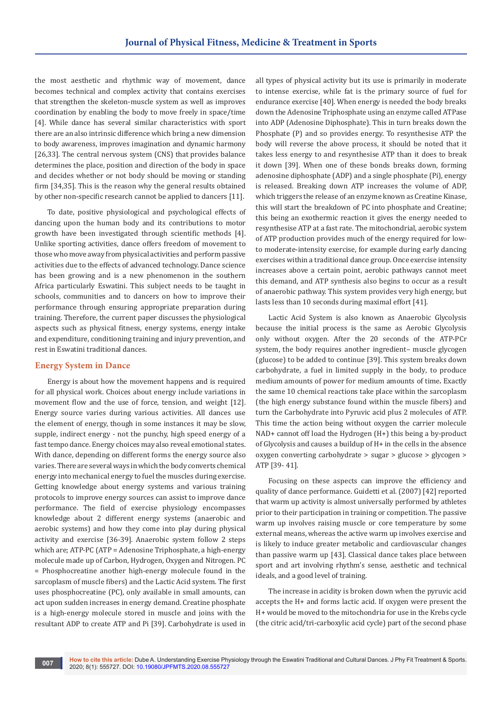the most aesthetic and rhythmic way of movement, dance becomes technical and complex activity that contains exercises that strengthen the skeleton-muscle system as well as improves coordination by enabling the body to move freely in space/time [4]. While dance has several similar characteristics with sport there are an also intrinsic difference which bring a new dimension to body awareness, improves imagination and dynamic harmony [26,33]. The central nervous system (CNS) that provides balance determines the place, position and direction of the body in space and decides whether or not body should be moving or standing firm [34,35]. This is the reason why the general results obtained by other non-specific research cannot be applied to dancers [11].

To date, positive physiological and psychological effects of dancing upon the human body and its contributions to motor growth have been investigated through scientific methods [4]. Unlike sporting activities, dance offers freedom of movement to those who move away from physical activities and perform passive activities due to the effects of advanced technology. Dance science has been growing and is a new phenomenon in the southern Africa particularly Eswatini. This subject needs to be taught in schools, communities and to dancers on how to improve their performance through ensuring appropriate preparation during training. Therefore, the current paper discusses the physiological aspects such as physical fitness, energy systems, energy intake and expenditure, conditioning training and injury prevention, and rest in Eswatini traditional dances.

### **Energy System in Dance**

Energy is about how the movement happens and is required for all physical work. Choices about energy include variations in movement flow and the use of force, tension, and weight [12]. Energy source varies during various activities. All dances use the element of energy, though in some instances it may be slow, supple, indirect energy - not the punchy, high speed energy of a fast tempo dance. Energy choices may also reveal emotional states. With dance, depending on different forms the energy source also varies. There are several ways in which the body converts chemical energy into mechanical energy to fuel the muscles during exercise. Getting knowledge about energy systems and various training protocols to improve energy sources can assist to improve dance performance. The field of exercise physiology encompasses knowledge about 2 different energy systems (anaerobic and aerobic systems) and how they come into play during physical activity and exercise [36-39]. Anaerobic system follow 2 steps which are; ATP-PC (ATP = Adenosine Triphosphate, a high-energy molecule made up of Carbon, Hydrogen, Oxygen and Nitrogen. PC = Phosphocreatine another high-energy molecule found in the sarcoplasm of muscle fibers) and the Lactic Acid system. The first uses phosphocreatine (PC), only available in small amounts, can act upon sudden increases in energy demand. Creatine phosphate is a high-energy molecule stored in muscle and joins with the resultant ADP to create ATP and Pi [39]. Carbohydrate is used in

all types of physical activity but its use is primarily in moderate to intense exercise, while fat is the primary source of fuel for endurance exercise [40]. When energy is needed the body breaks down the Adenosine Triphosphate using an enzyme called ATPase into ADP (Adenosine Diphosphate). This in turn breaks down the Phosphate (P) and so provides energy. To resynthesise ATP the body will reverse the above process, it should be noted that it takes less energy to and resynthesise ATP than it does to break it down [39]. When one of these bonds breaks down, forming adenosine diphosphate (ADP) and a single phosphate (Pi), energy is released. Breaking down ATP increases the volume of ADP, which triggers the release of an enzyme known as Creatine Kinase, this will start the breakdown of PC into phosphate and Creatine; this being an exothermic reaction it gives the energy needed to resynthesise ATP at a fast rate. The mitochondrial, aerobic system of ATP production provides much of the energy required for lowto moderate-intensity exercise, for example during early dancing exercises within a traditional dance group. Once exercise intensity increases above a certain point, aerobic pathways cannot meet this demand, and ATP synthesis also begins to occur as a result of anaerobic pathway. This system provides very high energy, but lasts less than 10 seconds during maximal effort [41].

Lactic Acid System is also known as Anaerobic Glycolysis because the initial process is the same as Aerobic Glycolysis only without oxygen. After the 20 seconds of the ATP-PCr system, the body requires another ingredient– muscle glycogen (glucose) to be added to continue [39]. This system breaks down carbohydrate, a fuel in limited supply in the body, to produce medium amounts of power for medium amounts of time*.* Exactly the same 10 chemical reactions take place within the sarcoplasm (the high energy substance found within the muscle fibers) and turn the Carbohydrate into Pyruvic acid plus 2 molecules of ATP. This time the action being without oxygen the carrier molecule NAD+ cannot off load the Hydrogen (H+) this being a by-product of Glycolysis and causes a buildup of H+ in the cells in the absence oxygen converting carbohydrate > sugar > glucose > glycogen > ATP [39- 41].

Focusing on these aspects can improve the efficiency and quality of dance performance. Guidetti et al. (2007) [42] reported that warm up activity is almost universally performed by athletes prior to their participation in training or competition. The passive warm up involves raising muscle or core temperature by some external means, whereas the active warm up involves exercise and is likely to induce greater metabolic and cardiovascular changes than passive warm up [43]. Classical dance takes place between sport and art involving rhythm's sense, aesthetic and technical ideals, and a good level of training.

The increase in acidity is broken down when the pyruvic acid accepts the H+ and forms lactic acid. If oxygen were present the H+ would be moved to the mitochondria for use in the Krebs cycle (the citric acid/tri-carboxylic acid cycle) part of the second phase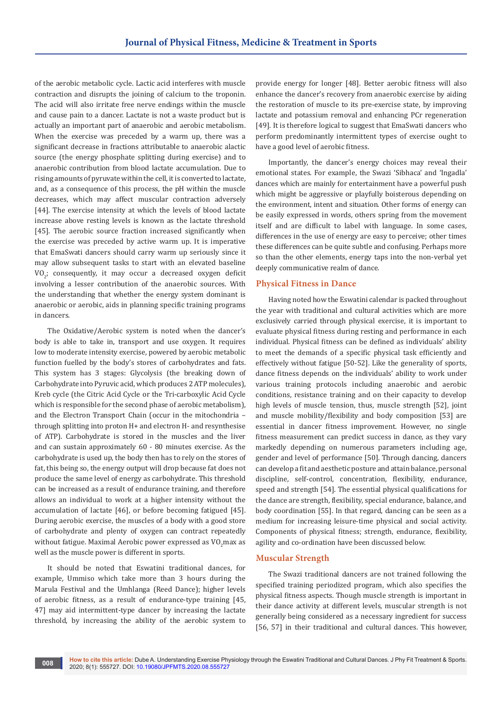of the aerobic metabolic cycle. Lactic acid interferes with muscle contraction and disrupts the joining of calcium to the troponin. The acid will also irritate free nerve endings within the muscle and cause pain to a dancer. Lactate is not a waste product but is actually an important part of anaerobic and aerobic metabolism. When the exercise was preceded by a warm up, there was a significant decrease in fractions attributable to anaerobic alactic source (the energy phosphate splitting during exercise) and to anaerobic contribution from blood lactate accumulation. Due to rising amounts of pyruvate within the cell, it is converted to lactate, and, as a consequence of this process, the pH within the muscle decreases, which may affect muscular contraction adversely [44]. The exercise intensity at which the levels of blood lactate increase above resting levels is known as the lactate threshold [45]. The aerobic source fraction increased significantly when the exercise was preceded by active warm up. It is imperative that EmaSwati dancers should carry warm up seriously since it may allow subsequent tasks to start with an elevated baseline  $VO<sub>2</sub>$ ; consequently, it may occur a decreased oxygen deficit involving a lesser contribution of the anaerobic sources. With the understanding that whether the energy system dominant is anaerobic or aerobic, aids in planning specific training programs in dancers.

The Oxidative/Aerobic system is noted when the dancer's body is able to take in, transport and use oxygen. It requires low to moderate intensity exercise, powered by aerobic metabolic function fuelled by the body's stores of carbohydrates and fats. This system has 3 stages: Glycolysis (the breaking down of Carbohydrate into Pyruvic acid, which produces 2 ATP molecules), Kreb cycle (the Citric Acid Cycle or the Tri-carboxylic Acid Cycle which is responsible for the second phase of aerobic metabolism), and the Electron Transport Chain (occur in the mitochondria – through splitting into proton H+ and electron H- and resynthesise of ATP). Carbohydrate is stored in the muscles and the liver and can sustain approximately 60 - 80 minutes exercise. As the carbohydrate is used up, the body then has to rely on the stores of fat, this being so, the energy output will drop because fat does not produce the same level of energy as carbohydrate. This threshold can be increased as a result of endurance training, and therefore allows an individual to work at a higher intensity without the accumulation of lactate [46], or before becoming fatigued [45]. During aerobic exercise, the muscles of a body with a good store of carbohydrate and plenty of oxygen can contract repeatedly without fatigue. Maximal Aerobic power expressed as VO<sub>2</sub>max as well as the muscle power is different in sports.

It should be noted that Eswatini traditional dances, for example, Ummiso which take more than 3 hours during the Marula Festival and the Umhlanga (Reed Dance); higher levels of aerobic fitness, as a result of endurance-type training [45, 47] may aid intermittent-type dancer by increasing the lactate threshold, by increasing the ability of the aerobic system to

provide energy for longer [48]. Better aerobic fitness will also enhance the dancer's recovery from anaerobic exercise by aiding the restoration of muscle to its pre-exercise state, by improving lactate and potassium removal and enhancing PCr regeneration [49]. It is therefore logical to suggest that EmaSwati dancers who perform predominantly intermittent types of exercise ought to have a good level of aerobic fitness.

Importantly, the dancer's energy choices may reveal their emotional states. For example, the Swazi 'Sibhaca' and 'Ingadla' dances which are mainly for entertainment have a powerful push which might be aggressive or playfully boisterous depending on the environment, intent and situation. Other forms of energy can be easily expressed in words, others spring from the movement itself and are difficult to label with language. In some cases, differences in the use of energy are easy to perceive; other times these differences can be quite subtle and confusing. Perhaps more so than the other elements, energy taps into the non-verbal yet deeply communicative realm of dance.

### **Physical Fitness in Dance**

Having noted how the Eswatini calendar is packed throughout the year with traditional and cultural activities which are more exclusively carried through physical exercise, it is important to evaluate physical fitness during resting and performance in each individual. Physical fitness can be defined as individuals' ability to meet the demands of a specific physical task efficiently and effectively without fatigue [50-52]. Like the generality of sports, dance fitness depends on the individuals' ability to work under various training protocols including anaerobic and aerobic conditions, resistance training and on their capacity to develop high levels of muscle tension, thus, muscle strength [52], joint and muscle mobility/flexibility and body composition [53] are essential in dancer fitness improvement. However, no single fitness measurement can predict success in dance, as they vary markedly depending on numerous parameters including age, gender and level of performance [50]. Through dancing, dancers can develop a fit and aesthetic posture and attain balance, personal discipline, self-control, concentration, flexibility, endurance, speed and strength [54]. The essential physical qualifications for the dance are strength, flexibility, special endurance, balance, and body coordination [55]. In that regard, dancing can be seen as a medium for increasing leisure-time physical and social activity. Components of physical fitness; strength, endurance, flexibility, agility and co-ordination have been discussed below.

### **Muscular Strength**

The Swazi traditional dancers are not trained following the specified training periodized program, which also specifies the physical fitness aspects. Though muscle strength is important in their dance activity at different levels, muscular strength is not generally being considered as a necessary ingredient for success [56, 57] in their traditional and cultural dances. This however,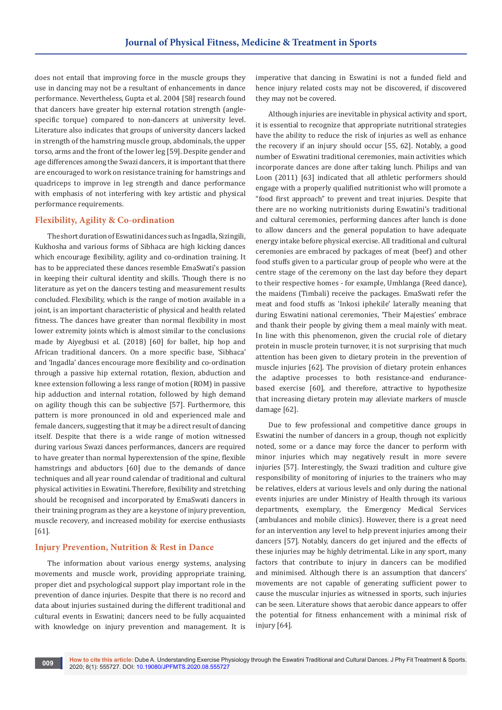does not entail that improving force in the muscle groups they use in dancing may not be a resultant of enhancements in dance performance. Nevertheless, Gupta et al. 2004 [58] research found that dancers have greater hip external rotation strength (anglespecific torque) compared to non-dancers at university level. Literature also indicates that groups of university dancers lacked in strength of the hamstring muscle group, abdominals, the upper torso, arms and the front of the lower leg [59]. Despite gender and age differences among the Swazi dancers, it is important that there are encouraged to work on resistance training for hamstrings and quadriceps to improve in leg strength and dance performance with emphasis of not interfering with key artistic and physical performance requirements.

## **Flexibility, Agility & Co-ordination**

The short duration of Eswatini dances such as Ingadla, Sizingili, Kukhosha and various forms of Sibhaca are high kicking dances which encourage flexibility, agility and co-ordination training. It has to be appreciated these dances resemble EmaSwati's passion in keeping their cultural identity and skills. Though there is no literature as yet on the dancers testing and measurement results concluded. Flexibility, which is the range of motion available in a joint, is an important characteristic of physical and health related fitness. The dances have greater than normal flexibility in most lower extremity joints which is almost similar to the conclusions made by Aiyegbusi et al. (2018) [60] for ballet, hip hop and African traditional dancers. On a more specific base, 'Sibhaca' and 'Ingadla' dances encourage more flexibility and co-ordination through a passive hip external rotation, flexion, abduction and knee extension following a less range of motion (ROM) in passive hip adduction and internal rotation, followed by high demand on agility though this can be subjective [57]. Furthermore, this pattern is more pronounced in old and experienced male and female dancers, suggesting that it may be a direct result of dancing itself. Despite that there is a wide range of motion witnessed during various Swazi dances performances, dancers are required to have greater than normal hyperextension of the spine, flexible hamstrings and abductors [60] due to the demands of dance techniques and all year round calendar of traditional and cultural physical activities in Eswatini. Therefore, flexibility and stretching should be recognised and incorporated by EmaSwati dancers in their training program as they are a keystone of injury prevention, muscle recovery, and increased mobility for exercise enthusiasts [61].

### **Injury Prevention, Nutrition & Rest in Dance**

The information about various energy systems, analysing movements and muscle work, providing appropriate training, proper diet and psychological support play important role in the prevention of dance injuries. Despite that there is no record and data about injuries sustained during the different traditional and cultural events in Eswatini; dancers need to be fully acquainted with knowledge on injury prevention and management. It is

imperative that dancing in Eswatini is not a funded field and hence injury related costs may not be discovered, if discovered they may not be covered.

Although injuries are inevitable in physical activity and sport, it is essential to recognize that appropriate nutritional strategies have the ability to reduce the risk of injuries as well as enhance the recovery if an injury should occur [55, 62]. Notably, a good number of Eswatini traditional ceremonies, main activities which incorporate dances are done after taking lunch. Philips and van Loon (2011) [63] indicated that all athletic performers should engage with a properly qualified nutritionist who will promote a "food first approach" to prevent and treat injuries. Despite that there are no working nutritionists during Eswatini's traditional and cultural ceremonies, performing dances after lunch is done to allow dancers and the general population to have adequate energy intake before physical exercise. All traditional and cultural ceremonies are embraced by packages of meat (beef) and other food stuffs given to a particular group of people who were at the centre stage of the ceremony on the last day before they depart to their respective homes - for example, Umhlanga (Reed dance), the maidens (Timbali) receive the packages. EmaSwati refer the meat and food stuffs as 'Inkosi iphekile' laterally meaning that during Eswatini national ceremonies, 'Their Majesties' embrace and thank their people by giving them a meal mainly with meat. In line with this phenomenon, given the crucial role of dietary protein in muscle protein turnover, it is not surprising that much attention has been given to dietary protein in the prevention of muscle injuries [62]. The provision of dietary protein enhances the adaptive processes to both resistance-and endurancebased exercise [60], and therefore, attractive to hypothesize that increasing dietary protein may alleviate markers of muscle damage [62].

Due to few professional and competitive dance groups in Eswatini the number of dancers in a group, though not explicitly noted, some or a dance may force the dancer to perform with minor injuries which may negatively result in more severe injuries [57]. Interestingly, the Swazi tradition and culture give responsibility of monitoring of injuries to the trainers who may be relatives, elders at various levels and only during the national events injuries are under Ministry of Health through its various departments, exemplary, the Emergency Medical Services (ambulances and mobile clinics). However, there is a great need for an intervention any level to help prevent injuries among their dancers [57]. Notably, dancers do get injured and the effects of these injuries may be highly detrimental. Like in any sport, many factors that contribute to injury in dancers can be modified and minimised. Although there is an assumption that dancers' movements are not capable of generating sufficient power to cause the muscular injuries as witnessed in sports, such injuries can be seen. Literature shows that aerobic dance appears to offer the potential for fitness enhancement with a minimal risk of injury [64].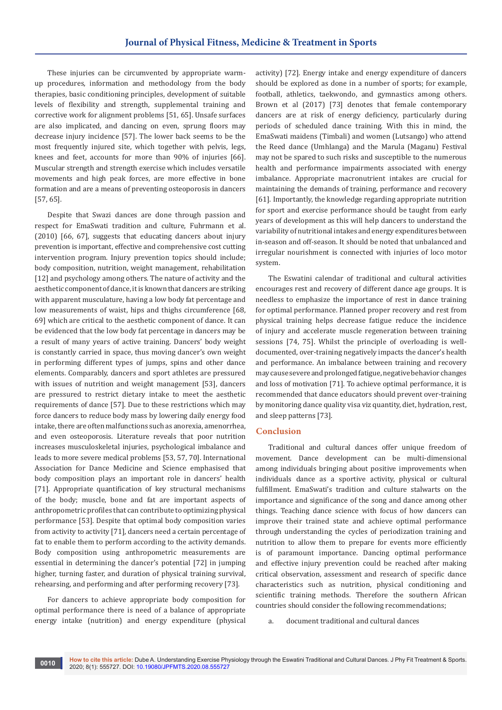These injuries can be circumvented by appropriate warmup procedures, information and methodology from the body therapies, basic conditioning principles, development of suitable levels of flexibility and strength, supplemental training and corrective work for alignment problems [51, 65]. Unsafe surfaces are also implicated, and dancing on even, sprung floors may decrease injury incidence [57]. The lower back seems to be the most frequently injured site, which together with pelvis, legs, knees and feet, accounts for more than 90% of injuries [66]. Muscular strength and strength exercise which includes versatile movements and high peak forces, are more effective in bone formation and are a means of preventing osteoporosis in dancers [57, 65].

Despite that Swazi dances are done through passion and respect for EmaSwati tradition and culture, Fuhrmann et al. (2010) [66, 67], suggests that educating dancers about injury prevention is important, effective and comprehensive cost cutting intervention program. Injury prevention topics should include; body composition, nutrition, weight management, rehabilitation [12] and psychology among others. The nature of activity and the aesthetic component of dance, it is known that dancers are striking with apparent musculature, having a low body fat percentage and low measurements of waist, hips and thighs circumference [68, 69] which are critical to the aesthetic component of dance. It can be evidenced that the low body fat percentage in dancers may be a result of many years of active training. Dancers' body weight is constantly carried in space, thus moving dancer's own weight in performing different types of jumps, spins and other dance elements. Comparably, dancers and sport athletes are pressured with issues of nutrition and weight management [53], dancers are pressured to restrict dietary intake to meet the aesthetic requirements of dance [57]. Due to these restrictions which may force dancers to reduce body mass by lowering daily energy food intake, there are often malfunctions such as anorexia, amenorrhea, and even osteoporosis. Literature reveals that poor nutrition increases musculoskeletal injuries, psychological imbalance and leads to more severe medical problems [53, 57, 70]. International Association for Dance Medicine and Science emphasised that body composition plays an important role in dancers' health [71]. Appropriate quantification of key structural mechanisms of the body; muscle, bone and fat are important aspects of anthropometric profiles that can contribute to optimizing physical performance [53]. Despite that optimal body composition varies from activity to activity [71], dancers need a certain percentage of fat to enable them to perform according to the activity demands. Body composition using anthropometric measurements are essential in determining the dancer's potential [72] in jumping higher, turning faster, and duration of physical training survival, rehearsing, and performing and after performing recovery [73].

For dancers to achieve appropriate body composition for optimal performance there is need of a balance of appropriate energy intake (nutrition) and energy expenditure (physical

activity) [72]. Energy intake and energy expenditure of dancers should be explored as done in a number of sports; for example, football, athletics, taekwondo, and gymnastics among others. Brown et al (2017) [73] denotes that female contemporary dancers are at risk of energy deficiency, particularly during periods of scheduled dance training. With this in mind, the EmaSwati maidens (Timbali) and women (Lutsango) who attend the Reed dance (Umhlanga) and the Marula (Maganu) Festival may not be spared to such risks and susceptible to the numerous health and performance impairments associated with energy imbalance. Appropriate macronutrient intakes are crucial for maintaining the demands of training, performance and recovery [61]. Importantly, the knowledge regarding appropriate nutrition for sport and exercise performance should be taught from early years of development as this will help dancers to understand the variability of nutritional intakes and energy expenditures between in-season and off-season. It should be noted that unbalanced and irregular nourishment is connected with injuries of loco motor system.

The Eswatini calendar of traditional and cultural activities encourages rest and recovery of different dance age groups. It is needless to emphasize the importance of rest in dance training for optimal performance. Planned proper recovery and rest from physical training helps decrease fatigue reduce the incidence of injury and accelerate muscle regeneration between training sessions [74, 75]. Whilst the principle of overloading is welldocumented, over-training negatively impacts the dancer's health and performance. An imbalance between training and recovery may cause severe and prolonged fatigue, negative behavior changes and loss of motivation [71]. To achieve optimal performance, it is recommended that dance educators should prevent over-training by monitoring dance quality visa viz quantity, diet, hydration, rest, and sleep patterns [73].

## **Conclusion**

Traditional and cultural dances offer unique freedom of movement. Dance development can be multi-dimensional among individuals bringing about positive improvements when individuals dance as a sportive activity, physical or cultural fulfillment. EmaSwati's tradition and culture stalwarts on the importance and significance of the song and dance among other things. Teaching dance science with focus of how dancers can improve their trained state and achieve optimal performance through understanding the cycles of periodization training and nutrition to allow them to prepare for events more efficiently is of paramount importance. Dancing optimal performance and effective injury prevention could be reached after making critical observation, assessment and research of specific dance characteristics such as nutrition, physical conditioning and scientific training methods. Therefore the southern African countries should consider the following recommendations;

a. document traditional and cultural dances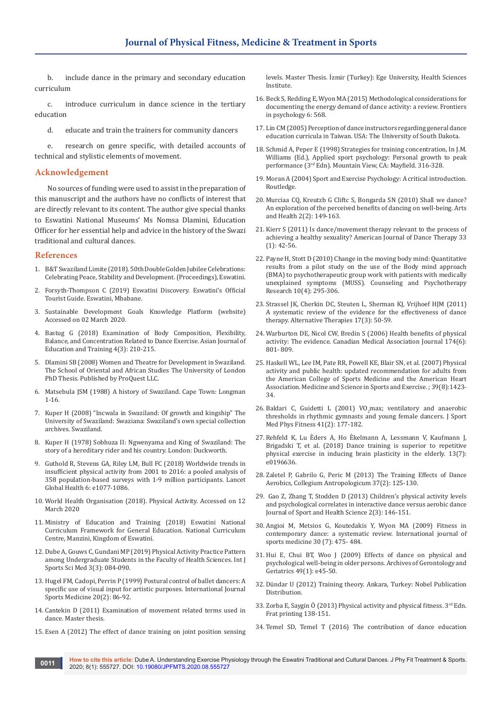b. include dance in the primary and secondary education curriculum

c. introduce curriculum in dance science in the tertiary education

d. educate and train the trainers for community dancers

e. research on genre specific, with detailed accounts of technical and stylistic elements of movement.

#### **Acknowledgement**

No sources of funding were used to assist in the preparation of this manuscript and the authors have no conflicts of interest that are directly relevant to its content. The author give special thanks to Eswatini National Museums' Ms Nomsa Dlamini, Education Officer for her essential help and advice in the history of the Swazi traditional and cultural dances.

#### **References**

- 1. B&T Swaziland Limite (2018). 50th Double Golden Jubilee Celebrations: Celebrating Peace, Stability and Development. (Proceedings), Eswatini.
- 2. Forsyth-Thompson C (2019) Eswatini Discovery. Eswatini's Official Tourist Guide. Eswatini, Mbabane.
- 3. Sustainable Development Goals Knowledge Platform (website) Accessed on 02 March 2020.
- 4. [Bastug G \(2018\) Examination of Body Composition, Flexibility,](https://files.eric.ed.gov/fulltext/EJ1182097.pdf)  [Balance, and Concentration Related to Dance Exercise. Asian Journal of](https://files.eric.ed.gov/fulltext/EJ1182097.pdf)  [Education and Training 4\(3\): 210-215.](https://files.eric.ed.gov/fulltext/EJ1182097.pdf)
- 5. Dlamini SB (2008) Women and Theatre for Development in Swaziland. The School of Oriental and African Studies The University of London PhD Thesis. Published by ProQuest LLC.
- 6. [Matsebula JSM \(1988\) A history of Swaziland. Cape Town: Longman](https://www.abebooks.co.uk/book-search/title/a-history-of-swaziland/author/matsebula-j-s-m/)  [1-16.](https://www.abebooks.co.uk/book-search/title/a-history-of-swaziland/author/matsebula-j-s-m/)
- 7. Kuper H (2008) "Incwala in Swaziland: Of growth and kingship" The University of Swaziland: Swaziana: Swaziland's own special collection archives. Swaziland.
- 8. Kuper H (1978) Sobhuza II: Ngwenyama and King of Swaziland: The story of a hereditary rider and his country. London: Duckworth.
- 9. [Guthold R, Stevens GA, Riley LM, Bull FC \(2018\) Worldwide trends in](https://www.ncbi.nlm.nih.gov/pubmed/30193830)  [insufficient physical activity from 2001 to 2016: a pooled analysis of](https://www.ncbi.nlm.nih.gov/pubmed/30193830)  [358 population-based surveys with 1·9 million participants. Lancet](https://www.ncbi.nlm.nih.gov/pubmed/30193830)  [Global Health 6: e1077-1086.](https://www.ncbi.nlm.nih.gov/pubmed/30193830)
- 10. World Health Organisation (2018). Physical Activity. Accessed on 12 March 2020
- 11. Ministry of Education and Training (2018) Eswatini National Curriculum Framework for General Education. National Curriculum Centre, Manzini, Kingdom of Eswatini.
- 12. [Dube A, Gouws C, Gundani MP \(2019\) Physical Activity Practice Pattern](https://www.scireslit.com/SportsMedicine/IJSSM-ID47.pdf)  [among Undergraduate Students in the Faculty of Health Sciences. Int J](https://www.scireslit.com/SportsMedicine/IJSSM-ID47.pdf)  [Sports Sci Med 3\(3\): 084-090.](https://www.scireslit.com/SportsMedicine/IJSSM-ID47.pdf)
- 13. [Hugel FM, Cadopi, Perrin P \(1999\) Postural control of ballet dancers: A](https://www.ncbi.nlm.nih.gov/pubmed/10190767)  [specific use of visual input for artistic purposes. International Journal](https://www.ncbi.nlm.nih.gov/pubmed/10190767)  [Sports Medicine 20\(2\): 86-92.](https://www.ncbi.nlm.nih.gov/pubmed/10190767)
- 14. Cantekin D (2011) Examination of movement related terms used in dance. Master thesis.
- 15. Esen A (2012) The effect of dance training on joint position sensing

levels. Master Thesis. İzmir (Turkey): Ege University, Health Sciences Institute.

- 16. [Beck S, Redding E, Wyon MA \(2015\) Methodological considerations for](https://www.ncbi.nlm.nih.gov/pubmed/25999885/)  [documenting the energy demand of dance activity: a review. Frontiers](https://www.ncbi.nlm.nih.gov/pubmed/25999885/)  [in psychology 6: 568.](https://www.ncbi.nlm.nih.gov/pubmed/25999885/)
- 17. Lin CM (2005) Perception of dance instructors regarding general dance education curricula in Taiwan. USA: The University of South Dakota.
- 18. Schmid A, Peper E (1998) Strategies for training concentration, In J.M. Williams (Ed.), Applied sport psychology: Personal growth to peak performance (3rd Edn). Mountain View, CA: Mayfield. 316-328.
- 19. Moran A (2004) Sport and Exercise Psychology: A critical introduction. Routledge.
- 20. [Murciaa CQ, Kreutzb G Cliftc S, Bongarda SN \(2010\) Shall we dance?](https://www.tandfonline.com/doi/abs/10.1080/17533010903488582)  [An exploration of the perceived benefits of dancing on well-being. Arts](https://www.tandfonline.com/doi/abs/10.1080/17533010903488582)  [and Health 2\(2\): 149-163.](https://www.tandfonline.com/doi/abs/10.1080/17533010903488582)
- 21. [Kierr S \(2011\) Is dance/movement therapy relevant to the process of](https://www.authormapper.com/search.aspx?val=journal%3AAmerican+Journal+of+Dance+Therapy&size=100&val=subject%3APersonality+and+Social+Psychology)  [achieving a healthy sexuality? American Journal of Dance Therapy 33](https://www.authormapper.com/search.aspx?val=journal%3AAmerican+Journal+of+Dance+Therapy&size=100&val=subject%3APersonality+and+Social+Psychology)  [\(1\): 42-56.](https://www.authormapper.com/search.aspx?val=journal%3AAmerican+Journal+of+Dance+Therapy&size=100&val=subject%3APersonality+and+Social+Psychology)
- 22. [Payne H, Stott D \(2010\) Change in the moving body mind: Quantitative](https://www.tandfonline.com/doi/abs/10.1080/14733140903551645)  [results from a pilot study on the use of the Body mind approach](https://www.tandfonline.com/doi/abs/10.1080/14733140903551645)  [\(BMA\) to psychotherapeutic group work with patients with medically](https://www.tandfonline.com/doi/abs/10.1080/14733140903551645)  [unexplained symptoms \(MUSS\). Counseling and Psychotherapy](https://www.tandfonline.com/doi/abs/10.1080/14733140903551645)  [Research 10\(4\): 295-306.](https://www.tandfonline.com/doi/abs/10.1080/14733140903551645)
- 23. [Strassel JK, Cherkin DC, Steuten L, Sherman KJ, Vrijhoef HJM \(2011\)](https://www.ncbi.nlm.nih.gov/pubmed/22164813)  [A systematic review of the evidence for the effectiveness of dance](https://www.ncbi.nlm.nih.gov/pubmed/22164813)  [therapy. Alternative Therapies 17\(3\): 50-59.](https://www.ncbi.nlm.nih.gov/pubmed/22164813)
- 24. [Warburton DE, Nicol CW, Bredin S \(2006\) Health benefits of physical](https://www.ncbi.nlm.nih.gov/pubmed/16534088/)  [activity: The evidence. Canadian Medical Association Journal 174\(6\):](https://www.ncbi.nlm.nih.gov/pubmed/16534088/)  [801- 809.](https://www.ncbi.nlm.nih.gov/pubmed/16534088/)
- 25. Haskell WL, Lee IM, Pate RR, Powell KE, Blair SN, [et al. \(2007\) Physical](https://www.ncbi.nlm.nih.gov/pubmed/17762377)  [activity and public health: updated recommendation for adults from](https://www.ncbi.nlm.nih.gov/pubmed/17762377)  [the American College of Sports Medicine and the American Heart](https://www.ncbi.nlm.nih.gov/pubmed/17762377)  [Association. Medicine and Science in Sports and Exercise.](https://www.ncbi.nlm.nih.gov/pubmed/17762377) ; 39(8):1423- [34.](https://www.ncbi.nlm.nih.gov/pubmed/17762377)
- 26. Baldari C, Guidetti L (2001)  $VO<sub>2</sub>$ max; ventilatory and anaerobic [thresholds in rhythmic gymnasts and young female dancers. J Sport](https://www.ncbi.nlm.nih.gov/pubmed/11447359)  [Med Phys Fitness 41\(2\): 177-182.](https://www.ncbi.nlm.nih.gov/pubmed/11447359)
- 27. Rehfeld K, Lu Èders A, Ho Èkelmann A, Lessmann V, Kaufmann J, Brigadski T, et al. (2018) Dance training is superior to repetitive physical exercise in inducing brain plasticity in the elderly. 13(7): e0196636.
- 28. [Zaletel P, Gabrilo G, Peric M \(2013\) The Training Effects of Dance](https://europepmc.org/article/med/23914499)  [Aerobics, Collegium Antropologicum 37\(2\): 125-130.](https://europepmc.org/article/med/23914499)
- 29. [Gao Z, Zhang T, Stodden D \(2013\) Children's physical activity levels](https://www.sciencedirect.com/science/article/pii/S2095254613000501)  [and psychological correlates in interactive dance versus aerobic dance](https://www.sciencedirect.com/science/article/pii/S2095254613000501)  [Journal of Sport and Health Science 2\(3\): 146-151.](https://www.sciencedirect.com/science/article/pii/S2095254613000501)
- 30. [Angioi M, Metsios G, Koutedakis Y, Wyon MA \(2009\) Fitness in](https://www.ncbi.nlm.nih.gov/pubmed/19301219)  [contemporary dance: a systematic review. International journal of](https://www.ncbi.nlm.nih.gov/pubmed/19301219)  [sports medicine 30 \(7\): 475- 484.](https://www.ncbi.nlm.nih.gov/pubmed/19301219)
- 31. [Hui E, Chui BT, Woo J \(2009\) Effects of dance on physical and](https://www.ncbi.nlm.nih.gov/pubmed/18838181)  [psychological well-being in older persons. Archives of Gerontology and](https://www.ncbi.nlm.nih.gov/pubmed/18838181)  [Geriatrics 49\(1\): e45-50.](https://www.ncbi.nlm.nih.gov/pubmed/18838181)
- 32. Dündar U (2012) Training theory. Ankara, Turkey: Nobel Publication Distribution.
- 33. Zorba E, Saygin Ö (2013) Physical activity and physical fitness. 3<sup>rd</sup> Edn. Frat printing 138-151.
- 34. [Temel SD, Temel T \(2016\) The contribution of dance education](https://www.asianonlinejournals.com/index.php/EDU/article/view/344/1000)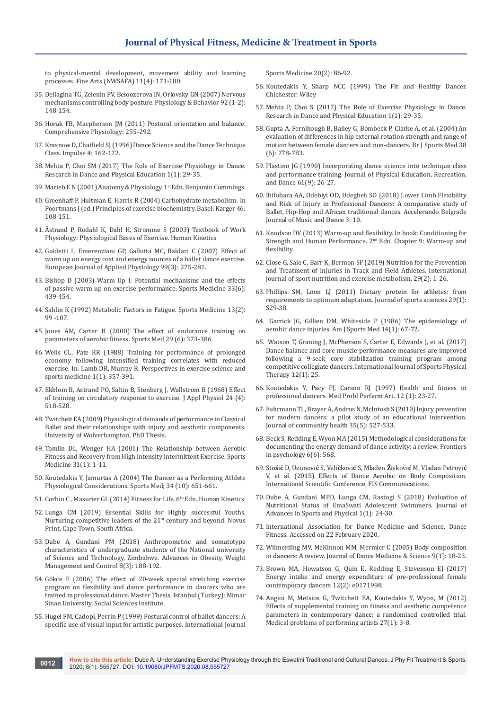[to physical-mental development, movement ability and learning](https://www.asianonlinejournals.com/index.php/EDU/article/view/344/1000)  [processes. Fine Arts \(NWSAFA\) 11\(4\): 171-180.](https://www.asianonlinejournals.com/index.php/EDU/article/view/344/1000)

- 35. [Deliagina TG, Zelenin PV, Beloozerova IN, Orlovsky GN \(2007\) Nervous](https://www.sciencedirect.com/science/article/abs/pii/S0031938407002107)  [mechanisms controlling body posture. Physiology & Behavior 92 \(1-2\):](https://www.sciencedirect.com/science/article/abs/pii/S0031938407002107)  [148-154.](https://www.sciencedirect.com/science/article/abs/pii/S0031938407002107)
- 36. [Horak FB, Macpherson JM \(2011\) Postural orientation and balance.](https://onlinelibrary.wiley.com/doi/abs/10.1002/cphy.cp120107)  [Comprehensive Physiology: 255-292.](https://onlinelibrary.wiley.com/doi/abs/10.1002/cphy.cp120107)
- 37. [Krasnow D, Chatfield SJ \(1996\) Dance Science and the Dance Technique](http://www.citraining.com/Dance-Science-and-Dance-Technique-Class.html)  [Class. Impulse 4: 162-172.](http://www.citraining.com/Dance-Science-and-Dance-Technique-Class.html)
- 38. [Mehta P, Choi SM \(2017\) The Role of Exercise Physiology in Dance.](http://rdpe.co.kr/xml/10840/10840.pdf)  [Research in Dance and Physical Education 1\(1\): 29-35.](http://rdpe.co.kr/xml/10840/10840.pdf)
- 39. Marieb E N (2001) Anatomy & Physiology. 1st Edn. Benjamin Cummings.
- 40. [Greenhaff P, Hultman E, Harris R \(2004\) Carbohydrate metabolism. In](https://www.karger.com/Article/Abstract/74367)  [Poortmans J \(ed.\) Principles of exercise biochemistry. Basel: Karger 46:](https://www.karger.com/Article/Abstract/74367)  [108-151.](https://www.karger.com/Article/Abstract/74367)
- 41. Åstrand P, Rodahl K, Dahl H, Stromme S (2003) Textbook of Work Physiology: Physiological Bases of Exercise. Human Kinetics
- 42. [Guidetti L, Emerenziani GP, Gallotta MC, Baldari C \(2007\) Effect of](https://www.ncbi.nlm.nih.gov/pubmed/17165061)  [warm up on energy cost and energy sources of a ballet dance exercise.](https://www.ncbi.nlm.nih.gov/pubmed/17165061)  [European Journal of Applied Physiology 99\(3\): 275-281.](https://www.ncbi.nlm.nih.gov/pubmed/17165061)
- 43. [Bishop D \(2003\) Warm Up I: Potential mechanisms and the effects](https://www.ncbi.nlm.nih.gov/pubmed/12744717)  [of passive warm up on exercise performance. Sports Medicine 33\(6\):](https://www.ncbi.nlm.nih.gov/pubmed/12744717)  [439-454.](https://www.ncbi.nlm.nih.gov/pubmed/12744717)
- 44. [Sahlin K \(1992\) Metabolic Factors in Fatigue. Sports Medicine 13\(2\):](https://www.ncbi.nlm.nih.gov/pubmed/1561513)  [99 -107.](https://www.ncbi.nlm.nih.gov/pubmed/1561513)
- 45. [Jones AM, Carter H \(2000\) The effect of endurance training on](https://europepmc.org/article/med/10870864)  [parameters of aerobic fitness. Sports Med 29 \(6\): 373-386.](https://europepmc.org/article/med/10870864)
- 46. [Wells CL, Pate RR \(1988\) Training for performance of prolonged](https://www.ncbi.nlm.nih.gov/pubmed/27747844/)  [economy following intensified training correlates with reduced](https://www.ncbi.nlm.nih.gov/pubmed/27747844/)  [exercise. In: Lamb DR, Murray R. Perspectives in exercise science and](https://www.ncbi.nlm.nih.gov/pubmed/27747844/)  [sports medicine 1\(1\): 357-391.](https://www.ncbi.nlm.nih.gov/pubmed/27747844/)
- 47. [Ekblom B, Astrand PO, Saltin B, Stenberg J, Wallstrom B \(1968\) Effect](https://www.ncbi.nlm.nih.gov/pubmed/4230646)  [of training on circulatory response to exercise. J Appl Physiol 24 \(4\):](https://www.ncbi.nlm.nih.gov/pubmed/4230646)  [518-528.](https://www.ncbi.nlm.nih.gov/pubmed/4230646)
- 48. Twitchett EA (2009) Physiological demands of performance in Classical Ballet and their relationships with injury and aesthetic components. University of Wolverhampton. PhD Thesis.
- 49. [Tomlin DL, Wenger HA \(2001\) The Relationship between Aerobic](https://www.ncbi.nlm.nih.gov/pubmed/11219498)  [Fitness and Recovery from High Intensity Intermittent Exercise. Sports](https://www.ncbi.nlm.nih.gov/pubmed/11219498)  [Medicine 31\(1\): 1-11.](https://www.ncbi.nlm.nih.gov/pubmed/11219498)
- 50. [Koutedakis Y, Jamurtas A \(2004\) The Dancer as a Performing Athlete](https://link.springer.com/article/10.2165/00007256-200434100-00003)  [Physiological Considerations. Sports Med; 34 \(10\): 651-661.](https://link.springer.com/article/10.2165/00007256-200434100-00003)
- 51. Corbin C, Masurier GL (2014) Fitness for Life. 6<sup>th</sup> Edn. Human Kinetics.
- 52. Lunga CM (2019) Essential Skills for Highly successful Youths. Nurturing competitive leaders of the 21<sup>st</sup> century and beyond. Novus Print, Cape Town, South Africa.
- 53. [Dube A, Gundani PM \(2018\) Anthropometric and somatotype](https://medcraveonline.com/AOWMC/anthropometric-and-somatotype-characteristics-of-undergraduate-students-of-the-national-university-of-science-and-technology-zimbabwe.html)  [characteristics of undergraduate students of the National university](https://medcraveonline.com/AOWMC/anthropometric-and-somatotype-characteristics-of-undergraduate-students-of-the-national-university-of-science-and-technology-zimbabwe.html)  [of Science and Technology, Zimbabwe. Advances in Obesity, Weight](https://medcraveonline.com/AOWMC/anthropometric-and-somatotype-characteristics-of-undergraduate-students-of-the-national-university-of-science-and-technology-zimbabwe.html)  [Management and Control 8\(3\): 188-192.](https://medcraveonline.com/AOWMC/anthropometric-and-somatotype-characteristics-of-undergraduate-students-of-the-national-university-of-science-and-technology-zimbabwe.html)
- 54. Gökce E (2006) The effect of 20-week special stretching exercise program on flexibility and dance performance in dancers who are trained in professional dance. Master Thesis, Istanbul (Turkey): Mimar Sinan University, Social Sciences Institute.
- 55. [Hugel FM, Cadopi, Perrin P \(1999\) Postural control of ballet dancers: A](https://www.ncbi.nlm.nih.gov/pubmed/10190767)  [specific use of visual input for artistic purposes. International Journal](https://www.ncbi.nlm.nih.gov/pubmed/10190767)

[Sports Medicine 20\(2\): 86-92.](https://www.ncbi.nlm.nih.gov/pubmed/10190767)

- 56. [Koutedakis Y, Sharp NCC \(1999\) The Fit and Healthy Dancer.](https://www.wiley.com/en-in/The+Fit+and+Healthy+Dancer-p-9780471975281)  [Chichester: Wiley](https://www.wiley.com/en-in/The+Fit+and+Healthy+Dancer-p-9780471975281)
- 57. [Mehta P, Choi S \(2017\) The Role of Exercise Physiology in Dance.](http://rdpe.co.kr/xml/10840/10840.pdf)  [Research in Dance and Physical Education 1\(1\): 29-35.](http://rdpe.co.kr/xml/10840/10840.pdf)
- 58. Gupta A, Fernihough B, Bailey G, Bombeck P, Clarke A, [et al. \(2004\) An](https://www.ncbi.nlm.nih.gov/pubmed/15562180)  [evaluation of differences in hip external rotation strength and range of](https://www.ncbi.nlm.nih.gov/pubmed/15562180)  [motion between female dancers and non-dancers. Br J Sports Med 38](https://www.ncbi.nlm.nih.gov/pubmed/15562180)  [\(6\): 778-783.](https://www.ncbi.nlm.nih.gov/pubmed/15562180)
- 59. [Plastino JG \(1990\) Incorporating dance science into technique class](https://www.tandfonline.com/doi/abs/10.1080/07303084.1990.10604622)  [and performance training. Journal of Physical Education, Recreation,](https://www.tandfonline.com/doi/abs/10.1080/07303084.1990.10604622)  [and Dance 61\(9\): 26-27.](https://www.tandfonline.com/doi/abs/10.1080/07303084.1990.10604622)
- 60. Ibifubara AA, [Odebiyi OD, Udegbeh SO \(2018\) Lower Limb Flexibility](https://accelerandobjmd.weebly.com/issue3/lower-limb-flexibility-and-risk-of-injury-in-professional-dancers)  [and Risk of Injury in Professional Dancers: A comparative study of](https://accelerandobjmd.weebly.com/issue3/lower-limb-flexibility-and-risk-of-injury-in-professional-dancers)  [Ballet, Hip-Hop and African traditional dances. Accelerando Belgrade](https://accelerandobjmd.weebly.com/issue3/lower-limb-flexibility-and-risk-of-injury-in-professional-dancers)  [Journal of Music and Dance 3: 10.](https://accelerandobjmd.weebly.com/issue3/lower-limb-flexibility-and-risk-of-injury-in-professional-dancers)
- 61. Knudson DV (2013) Warm-up and flexibility. In book: Conditioning for Strength and Human Performance. 2<sup>nd</sup> Edn, Chapter 9: Warm-up and flexibility.
- 62. [Close G, Sale C, Barr K, Bermon SF \(2019\) Nutrition for the Prevention](https://www.ncbi.nlm.nih.gov/pubmed/30676133)  [and Treatment of Injuries in Track and Field Athletes. International](https://www.ncbi.nlm.nih.gov/pubmed/30676133)  [journal of sport nutrition and exercise metabolism. 29\(2\): 1-26.](https://www.ncbi.nlm.nih.gov/pubmed/30676133)
- 63. [Phillips SM, Loon LJ \(2011\) Dietary protein for athletes: from](https://cris.maastrichtuniversity.nl/en/publications/dietary-protein-for-athletes-from-requirements-to-optimum-adaptat)  [requirements to optimum adaptation.](https://cris.maastrichtuniversity.nl/en/publications/dietary-protein-for-athletes-from-requirements-to-optimum-adaptat) Journal of sports sciences 29(1): [S29-38.](https://cris.maastrichtuniversity.nl/en/publications/dietary-protein-for-athletes-from-requirements-to-optimum-adaptat)
- 64. [Garrick JG, Gillien DM, Whiteside P \(1986\) The epidemiology of](https://www.ncbi.nlm.nih.gov/pubmed/3752348)  [aerobic dance injuries. Am J Sports Med 14\(1\): 67-72.](https://www.ncbi.nlm.nih.gov/pubmed/3752348)
- 65. [Watson T, Graning J, McPherson S, Carter E, Edwards J, et al. \(2017\)](https://www.ncbi.nlm.nih.gov/pubmed/28217414)  [Dance balance and core muscle performance measures are improved](https://www.ncbi.nlm.nih.gov/pubmed/28217414)  [following a 9-seek core stabilization training program among](https://www.ncbi.nlm.nih.gov/pubmed/28217414)  [competitive collegiate dancers. International Journal of Sports Physical](https://www.ncbi.nlm.nih.gov/pubmed/28217414)  [Therapy 12\(1\): 25.](https://www.ncbi.nlm.nih.gov/pubmed/28217414)
- 66. Koutedakis Y, Pacy PJ, Carson RJ (1997) Health and fitness in professional dancers. Med Probl Perferm Art. 12 (1): 23-27.
- 67. [Fuhrmann TL, Brayer A, Andrus N, McIntosh S \(2010\) Injury prevention](https://www.ncbi.nlm.nih.gov/pubmed/20127158)  [for modern dancers: a pilot study of an educational intervention.](https://www.ncbi.nlm.nih.gov/pubmed/20127158)  [Journal of community health 35\(5\): 527-533.](https://www.ncbi.nlm.nih.gov/pubmed/20127158)
- 68. [Beck S, Redding E, Wyon MA \(2015\) Methodological considerations for](https://www.ncbi.nlm.nih.gov/pubmed/25999885/)  [documenting the energy demand of dance activity: a review.](https://www.ncbi.nlm.nih.gov/pubmed/25999885/) Frontiers [in psychology 6\(6\): 568.](https://www.ncbi.nlm.nih.gov/pubmed/25999885/)
- 69. Sto**š**i**ć** D, Uzunovi**ć** S, Veli**č**kovi**ć** S, Mladen **Ž**ivkovi**ć** M, Vladan Petrovi**ć**  V, et al. (2015) Effects of Dance Aerobic on Body Composition. International Scientific Conference, FIS Communications.
- 70. [Dube A, Gundani MPD, Lunga CM, Rastogi S](https://www.ncbi.nlm.nih.gov/pubmed/28904935/) (2018) Evaluation of [Nutritional Status of EmaSwati Adolescent Swimmers. Journal of](https://www.ncbi.nlm.nih.gov/pubmed/28904935/)  [Advances in Sports and Physical 1\(1\): 24-30.](https://www.ncbi.nlm.nih.gov/pubmed/28904935/)
- 71. International Association for Dance Medicine and Science. Dance Fitness. Accessed on 22 February 2020.
- 72. Wilmerding MV, [McKinnon MM, Mermier C \(2005\) Body composition](https://www.ingentaconnect.com/content/jmrp/jdms/2005/00000009/00000001/art00004)  [in dancers: A review. Journal of Dance Medicine & Science 9\(1\): 18-23.](https://www.ingentaconnect.com/content/jmrp/jdms/2005/00000009/00000001/art00004)
- 73. [Brown MA, Howatson G, Quin E, Redding E, Stevenson EJ \(2017\)](https://zenodo.org/record/375918)  [Energy intake and energy expenditure of pre-professional female](https://zenodo.org/record/375918)  [contemporary dancers 12\(2\): e0171998.](https://zenodo.org/record/375918)
- 74. [Angioi M, Metsios G, Twitchett EA, Koutedakis Y, Wyon, M \(2012\)](https://www.ncbi.nlm.nih.gov/pubmed/22543316)  [Effects of supplemental training on fitness and aesthetic competence](https://www.ncbi.nlm.nih.gov/pubmed/22543316)  [parameters in contemporary dance: a randomised controlled trial.](https://www.ncbi.nlm.nih.gov/pubmed/22543316)  [Medical problems of performing artists 27\(1\): 3-8.](https://www.ncbi.nlm.nih.gov/pubmed/22543316)